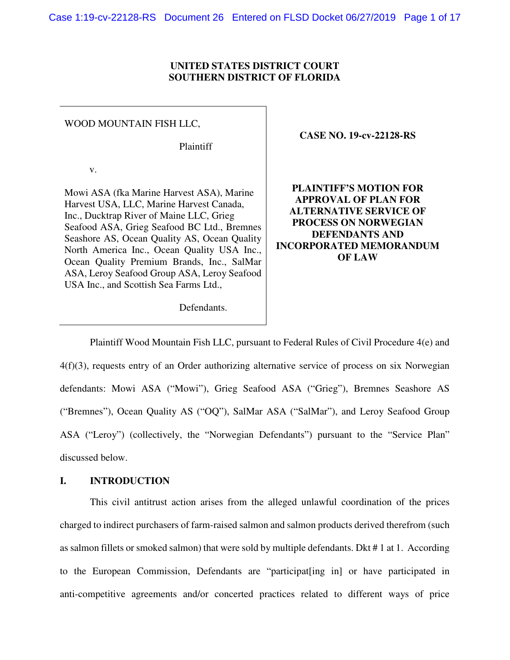#### **UNITED STATES DISTRICT COURT SOUTHERN DISTRICT OF FLORIDA**

#### WOOD MOUNTAIN FISH LLC,

Plaintiff

v.

Mowi ASA (fka Marine Harvest ASA), Marine Harvest USA, LLC, Marine Harvest Canada, Inc., Ducktrap River of Maine LLC, Grieg Seafood ASA, Grieg Seafood BC Ltd., Bremnes Seashore AS, Ocean Quality AS, Ocean Quality North America Inc., Ocean Quality USA Inc., Ocean Quality Premium Brands, Inc., SalMar ASA, Leroy Seafood Group ASA, Leroy Seafood USA Inc., and Scottish Sea Farms Ltd.,

**CASE NO. 19-cv-22128-RS**

**PLAINTIFF'S MOTION FOR APPROVAL OF PLAN FOR ALTERNATIVE SERVICE OF PROCESS ON NORWEGIAN DEFENDANTS AND INCORPORATED MEMORANDUM OF LAW** 

Defendants.

Plaintiff Wood Mountain Fish LLC, pursuant to Federal Rules of Civil Procedure 4(e) and 4(f)(3), requests entry of an Order authorizing alternative service of process on six Norwegian defendants: Mowi ASA ("Mowi"), Grieg Seafood ASA ("Grieg"), Bremnes Seashore AS ("Bremnes"), Ocean Quality AS ("OQ"), SalMar ASA ("SalMar"), and Leroy Seafood Group ASA ("Leroy") (collectively, the "Norwegian Defendants") pursuant to the "Service Plan" discussed below.

#### **I. INTRODUCTION**

This civil antitrust action arises from the alleged unlawful coordination of the prices charged to indirect purchasers of farm-raised salmon and salmon products derived therefrom (such as salmon fillets or smoked salmon) that were sold by multiple defendants. Dkt # 1 at 1. According to the European Commission, Defendants are "participat[ing in] or have participated in anti-competitive agreements and/or concerted practices related to different ways of price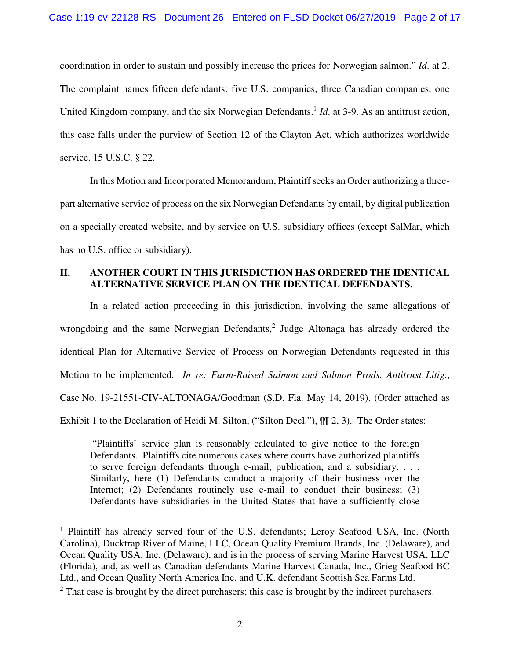coordination in order to sustain and possibly increase the prices for Norwegian salmon." *Id*. at 2. The complaint names fifteen defendants: five U.S. companies, three Canadian companies, one United Kingdom company, and the six Norwegian Defendants.<sup>1</sup> *Id*. at 3-9. As an antitrust action, this case falls under the purview of Section 12 of the Clayton Act, which authorizes worldwide service. 15 U.S.C. § 22.

In this Motion and Incorporated Memorandum, Plaintiff seeks an Order authorizing a threepart alternative service of process on the six Norwegian Defendants by email, by digital publication on a specially created website, and by service on U.S. subsidiary offices (except SalMar, which has no U.S. office or subsidiary).

# **II. ANOTHER COURT IN THIS JURISDICTION HAS ORDERED THE IDENTICAL ALTERNATIVE SERVICE PLAN ON THE IDENTICAL DEFENDANTS.**

In a related action proceeding in this jurisdiction, involving the same allegations of wrongdoing and the same Norwegian Defendants,<sup>2</sup> Judge Altonaga has already ordered the identical Plan for Alternative Service of Process on Norwegian Defendants requested in this Motion to be implemented. *In re: Farm-Raised Salmon and Salmon Prods. Antitrust Litig.*, Case No. 19-21551-CIV-ALTONAGA/Goodman (S.D. Fla. May 14, 2019). (Order attached as Exhibit 1 to the Declaration of Heidi M. Silton, ("Silton Decl."), ¶¶ 2, 3). The Order states:

 "Plaintiffs' service plan is reasonably calculated to give notice to the foreign Defendants. Plaintiffs cite numerous cases where courts have authorized plaintiffs to serve foreign defendants through e-mail, publication, and a subsidiary. . . . Similarly, here (1) Defendants conduct a majority of their business over the Internet; (2) Defendants routinely use e-mail to conduct their business; (3) Defendants have subsidiaries in the United States that have a sufficiently close

 $\overline{a}$ 

<sup>&</sup>lt;sup>1</sup> Plaintiff has already served four of the U.S. defendants; Leroy Seafood USA, Inc. (North Carolina), Ducktrap River of Maine, LLC, Ocean Quality Premium Brands, Inc. (Delaware), and Ocean Quality USA, Inc. (Delaware), and is in the process of serving Marine Harvest USA, LLC (Florida), and, as well as Canadian defendants Marine Harvest Canada, Inc., Grieg Seafood BC Ltd., and Ocean Quality North America Inc. and U.K. defendant Scottish Sea Farms Ltd.

 $2$  That case is brought by the direct purchasers; this case is brought by the indirect purchasers.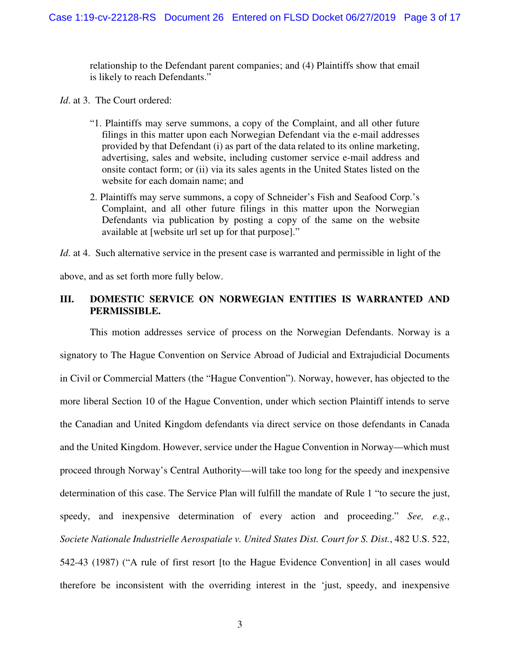relationship to the Defendant parent companies; and (4) Plaintiffs show that email is likely to reach Defendants."

*Id*. at 3. The Court ordered:

- "1. Plaintiffs may serve summons, a copy of the Complaint, and all other future filings in this matter upon each Norwegian Defendant via the e-mail addresses provided by that Defendant (i) as part of the data related to its online marketing, advertising, sales and website, including customer service e-mail address and onsite contact form; or (ii) via its sales agents in the United States listed on the website for each domain name; and
- 2. Plaintiffs may serve summons, a copy of Schneider's Fish and Seafood Corp.'s Complaint, and all other future filings in this matter upon the Norwegian Defendants via publication by posting a copy of the same on the website available at [website url set up for that purpose]."

*Id.* at 4. Such alternative service in the present case is warranted and permissible in light of the above, and as set forth more fully below.

# **III. DOMESTIC SERVICE ON NORWEGIAN ENTITIES IS WARRANTED AND PERMISSIBLE.**

This motion addresses service of process on the Norwegian Defendants. Norway is a signatory to The Hague Convention on Service Abroad of Judicial and Extrajudicial Documents in Civil or Commercial Matters (the "Hague Convention"). Norway, however, has objected to the more liberal Section 10 of the Hague Convention, under which section Plaintiff intends to serve the Canadian and United Kingdom defendants via direct service on those defendants in Canada and the United Kingdom. However, service under the Hague Convention in Norway—which must proceed through Norway's Central Authority—will take too long for the speedy and inexpensive determination of this case. The Service Plan will fulfill the mandate of Rule 1 "to secure the just, speedy, and inexpensive determination of every action and proceeding." *See, e.g.*, *Societe Nationale Industrielle Aerospatiale v. United States Dist. Court for S. Dist.*, 482 U.S. 522, 542-43 (1987) ("A rule of first resort [to the Hague Evidence Convention] in all cases would therefore be inconsistent with the overriding interest in the 'just, speedy, and inexpensive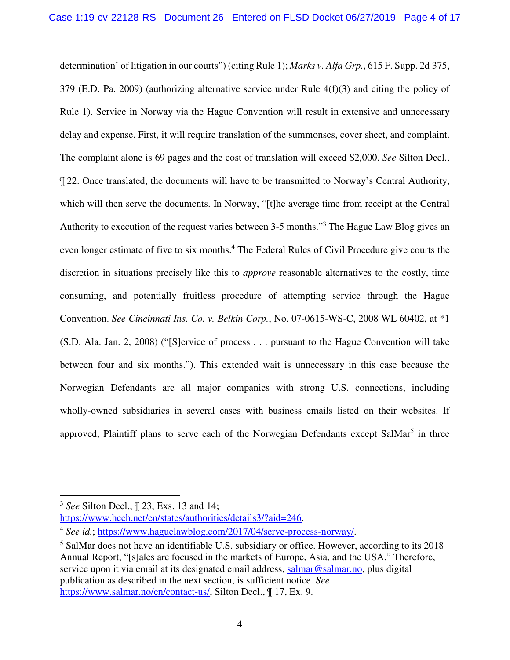determination' of litigation in our courts") (citing Rule 1); *Marks v. Alfa Grp.*, 615 F. Supp. 2d 375, 379 (E.D. Pa. 2009) (authorizing alternative service under Rule 4(f)(3) and citing the policy of Rule 1). Service in Norway via the Hague Convention will result in extensive and unnecessary delay and expense. First, it will require translation of the summonses, cover sheet, and complaint. The complaint alone is 69 pages and the cost of translation will exceed \$2,000. *See* Silton Decl., ¶ 22. Once translated, the documents will have to be transmitted to Norway's Central Authority, which will then serve the documents. In Norway, "[t]he average time from receipt at the Central Authority to execution of the request varies between 3-5 months."<sup>3</sup> The Hague Law Blog gives an even longer estimate of five to six months.<sup>4</sup> The Federal Rules of Civil Procedure give courts the discretion in situations precisely like this to *approve* reasonable alternatives to the costly, time consuming, and potentially fruitless procedure of attempting service through the Hague Convention. *See Cincinnati Ins. Co. v. Belkin Corp.*, No. 07-0615-WS-C, 2008 WL 60402, at \*1 (S.D. Ala. Jan. 2, 2008) ("[S]ervice of process . . . pursuant to the Hague Convention will take between four and six months."). This extended wait is unnecessary in this case because the Norwegian Defendants are all major companies with strong U.S. connections, including wholly-owned subsidiaries in several cases with business emails listed on their websites. If approved, Plaintiff plans to serve each of the Norwegian Defendants except SalMar<sup>5</sup> in three

-

https://www.hcch.net/en/states/authorities/details3/?aid=246.

<sup>3</sup> *See* Silton Decl., ¶ 23, Exs. 13 and 14;

<sup>4</sup> *See id.*; https://www.haguelawblog.com/2017/04/serve-process-norway/.

<sup>&</sup>lt;sup>5</sup> SalMar does not have an identifiable U.S. subsidiary or office. However, according to its 2018 Annual Report, "[s]ales are focused in the markets of Europe, Asia, and the USA." Therefore, service upon it via email at its designated email address, salmar@salmar.no, plus digital publication as described in the next section, is sufficient notice. *See* https://www.salmar.no/en/contact-us/, Silton Decl., ¶ 17, Ex. 9.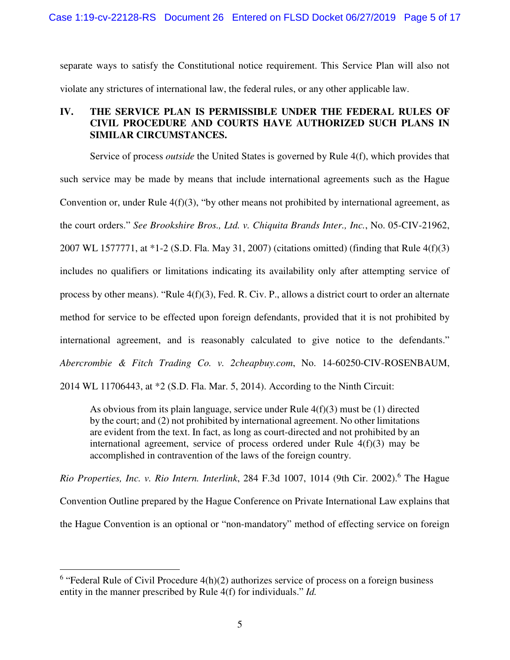separate ways to satisfy the Constitutional notice requirement. This Service Plan will also not violate any strictures of international law, the federal rules, or any other applicable law.

# **IV. THE SERVICE PLAN IS PERMISSIBLE UNDER THE FEDERAL RULES OF CIVIL PROCEDURE AND COURTS HAVE AUTHORIZED SUCH PLANS IN SIMILAR CIRCUMSTANCES.**

Service of process *outside* the United States is governed by Rule 4(f), which provides that such service may be made by means that include international agreements such as the Hague Convention or, under Rule 4(f)(3), "by other means not prohibited by international agreement, as the court orders." *See Brookshire Bros., Ltd. v. Chiquita Brands Inter., Inc.*, No. 05-CIV-21962, 2007 WL 1577771, at \*1-2 (S.D. Fla. May 31, 2007) (citations omitted) (finding that Rule 4(f)(3) includes no qualifiers or limitations indicating its availability only after attempting service of process by other means). "Rule 4(f)(3), Fed. R. Civ. P., allows a district court to order an alternate method for service to be effected upon foreign defendants, provided that it is not prohibited by international agreement, and is reasonably calculated to give notice to the defendants." *Abercrombie & Fitch Trading Co. v. 2cheapbuy.com*, No. 14-60250-CIV-ROSENBAUM,

2014 WL 11706443, at \*2 (S.D. Fla. Mar. 5, 2014). According to the Ninth Circuit:

As obvious from its plain language, service under Rule 4(f)(3) must be (1) directed by the court; and (2) not prohibited by international agreement. No other limitations are evident from the text. In fact, as long as court-directed and not prohibited by an international agreement, service of process ordered under Rule 4(f)(3) may be accomplished in contravention of the laws of the foreign country.

Rio Properties, Inc. v. Rio Intern. Interlink, 284 F.3d 1007, 1014 (9th Cir. 2002).<sup>6</sup> The Hague Convention Outline prepared by the Hague Conference on Private International Law explains that the Hague Convention is an optional or "non-mandatory" method of effecting service on foreign

<u>.</u>

 $6$  "Federal Rule of Civil Procedure  $4(h)(2)$  authorizes service of process on a foreign business entity in the manner prescribed by Rule 4(f) for individuals." *Id.*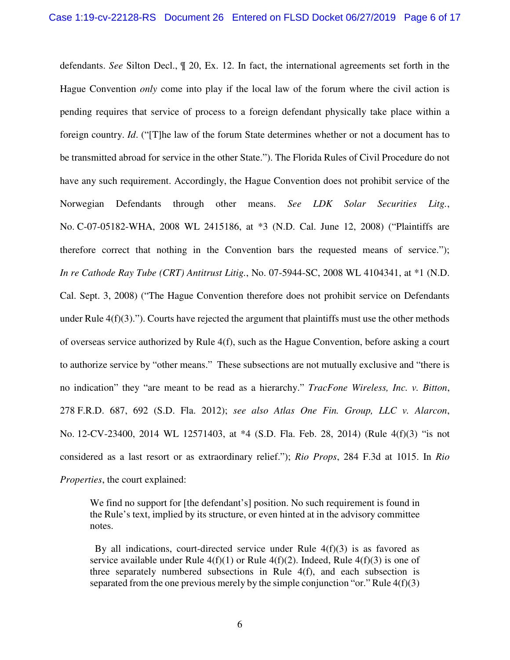defendants. *See* Silton Decl., ¶ 20, Ex. 12. In fact, the international agreements set forth in the Hague Convention *only* come into play if the local law of the forum where the civil action is pending requires that service of process to a foreign defendant physically take place within a foreign country. *Id*. ("[T]he law of the forum State determines whether or not a document has to be transmitted abroad for service in the other State."). The Florida Rules of Civil Procedure do not have any such requirement. Accordingly, the Hague Convention does not prohibit service of the Norwegian Defendants through other means. *See LDK Solar Securities Litg.*, No. C-07-05182-WHA, 2008 WL 2415186, at \*3 (N.D. Cal. June 12, 2008) ("Plaintiffs are therefore correct that nothing in the Convention bars the requested means of service."); *In re Cathode Ray Tube (CRT) Antitrust Litig.*, No. 07-5944-SC, 2008 WL 4104341, at \*1 (N.D. Cal. Sept. 3, 2008) ("The Hague Convention therefore does not prohibit service on Defendants under Rule  $4(f)(3)$ ."). Courts have rejected the argument that plaintiffs must use the other methods of overseas service authorized by Rule 4(f), such as the Hague Convention, before asking a court to authorize service by "other means." These subsections are not mutually exclusive and "there is no indication" they "are meant to be read as a hierarchy." *TracFone Wireless, Inc. v. Bitton*, 278 F.R.D. 687, 692 (S.D. Fla. 2012); *see also Atlas One Fin. Group, LLC v. Alarcon*, No. 12-CV-23400, 2014 WL 12571403, at \*4 (S.D. Fla. Feb. 28, 2014) (Rule 4(f)(3) "is not considered as a last resort or as extraordinary relief."); *Rio Props*, 284 F.3d at 1015. In *Rio Properties*, the court explained:

We find no support for [the defendant's] position. No such requirement is found in the Rule's text, implied by its structure, or even hinted at in the advisory committee notes.

By all indications, court-directed service under Rule  $4(f)(3)$  is as favored as service available under Rule  $4(f)(1)$  or Rule  $4(f)(2)$ . Indeed, Rule  $4(f)(3)$  is one of three separately numbered subsections in Rule 4(f), and each subsection is separated from the one previous merely by the simple conjunction "or." Rule  $4(f)(3)$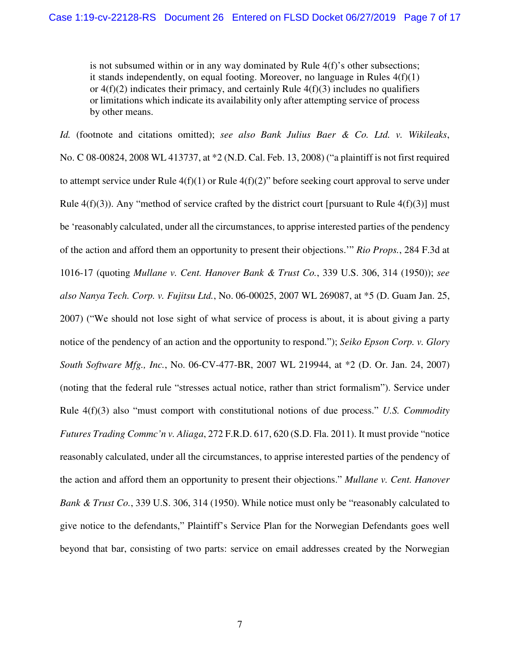is not subsumed within or in any way dominated by Rule 4(f)'s other subsections; it stands independently, on equal footing. Moreover, no language in Rules  $4(f)(1)$ or  $4(f)(2)$  indicates their primacy, and certainly Rule  $4(f)(3)$  includes no qualifiers or limitations which indicate its availability only after attempting service of process by other means.

*Id.* (footnote and citations omitted); *see also Bank Julius Baer & Co. Ltd. v. Wikileaks*, No. C 08-00824, 2008 WL 413737, at \*2 (N.D. Cal. Feb. 13, 2008) ("a plaintiff is not first required to attempt service under Rule  $4(f)(1)$  or Rule  $4(f)(2)$ " before seeking court approval to serve under Rule  $4(f)(3)$ ). Any "method of service crafted by the district court [pursuant to Rule  $4(f)(3)$ ] must be 'reasonably calculated, under all the circumstances, to apprise interested parties of the pendency of the action and afford them an opportunity to present their objections.'" *Rio Props.*, 284 F.3d at 1016-17 (quoting *Mullane v. Cent. Hanover Bank & Trust Co.*, 339 U.S. 306, 314 (1950)); *see also Nanya Tech. Corp. v. Fujitsu Ltd.*, No. 06-00025, 2007 WL 269087, at \*5 (D. Guam Jan. 25, 2007) ("We should not lose sight of what service of process is about, it is about giving a party notice of the pendency of an action and the opportunity to respond."); *Seiko Epson Corp. v. Glory South Software Mfg., Inc.*, No. 06-CV-477-BR, 2007 WL 219944, at \*2 (D. Or. Jan. 24, 2007) (noting that the federal rule "stresses actual notice, rather than strict formalism"). Service under Rule 4(f)(3) also "must comport with constitutional notions of due process." *U.S. Commodity Futures Trading Commc'n v. Aliaga*, 272 F.R.D. 617, 620 (S.D. Fla. 2011). It must provide "notice reasonably calculated, under all the circumstances, to apprise interested parties of the pendency of the action and afford them an opportunity to present their objections." *Mullane v. Cent. Hanover Bank & Trust Co.*, 339 U.S. 306, 314 (1950). While notice must only be "reasonably calculated to give notice to the defendants," Plaintiff's Service Plan for the Norwegian Defendants goes well beyond that bar, consisting of two parts: service on email addresses created by the Norwegian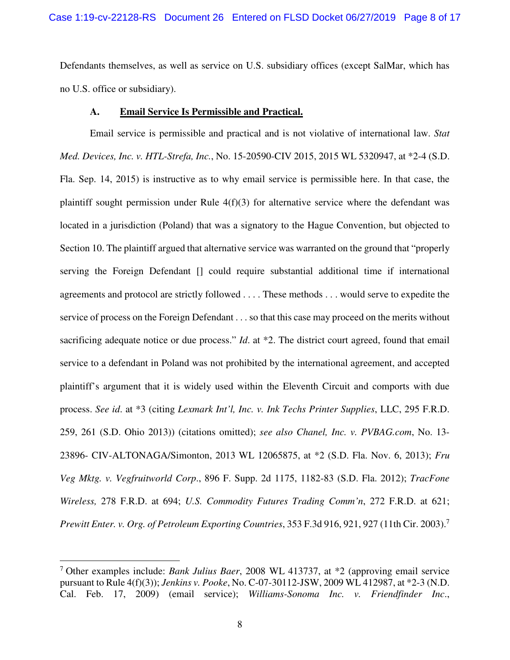Defendants themselves, as well as service on U.S. subsidiary offices (except SalMar, which has no U.S. office or subsidiary).

#### **A. Email Service Is Permissible and Practical.**

Email service is permissible and practical and is not violative of international law. *Stat Med. Devices, Inc. v. HTL-Strefa, Inc.*, No. 15-20590-CIV 2015, 2015 WL 5320947, at \*2-4 (S.D. Fla. Sep. 14, 2015) is instructive as to why email service is permissible here. In that case, the plaintiff sought permission under Rule 4(f)(3) for alternative service where the defendant was located in a jurisdiction (Poland) that was a signatory to the Hague Convention, but objected to Section 10. The plaintiff argued that alternative service was warranted on the ground that "properly serving the Foreign Defendant [] could require substantial additional time if international agreements and protocol are strictly followed . . . . These methods . . . would serve to expedite the service of process on the Foreign Defendant . . . so that this case may proceed on the merits without sacrificing adequate notice or due process." *Id.* at \*2. The district court agreed, found that email service to a defendant in Poland was not prohibited by the international agreement, and accepted plaintiff's argument that it is widely used within the Eleventh Circuit and comports with due process. *See id*. at \*3 (citing *Lexmark Int'l, Inc. v. Ink Techs Printer Supplies*, LLC, 295 F.R.D. 259, 261 (S.D. Ohio 2013)) (citations omitted); *see also Chanel, Inc. v. PVBAG.com*, No. 13- 23896- CIV-ALTONAGA/Simonton, 2013 WL 12065875, at \*2 (S.D. Fla. Nov. 6, 2013); *Fru Veg Mktg. v. Vegfruitworld Corp*., 896 F. Supp. 2d 1175, 1182-83 (S.D. Fla. 2012); *TracFone Wireless,* 278 F.R.D. at 694; *U.S. Commodity Futures Trading Comm'n*, 272 F.R.D. at 621; *Prewitt Enter. v. Org. of Petroleum Exporting Countries*, 353 F.3d 916, 921, 927 (11th Cir. 2003).<sup>7</sup>

-

<sup>7</sup> Other examples include: *Bank Julius Baer*, 2008 WL 413737, at \*2 (approving email service pursuant to Rule 4(f)(3)); *Jenkins v. Pooke*, No. C-07-30112-JSW, 2009 WL 412987, at \*2-3 (N.D. Cal. Feb. 17, 2009) (email service); *Williams-Sonoma Inc. v. Friendfinder Inc*.,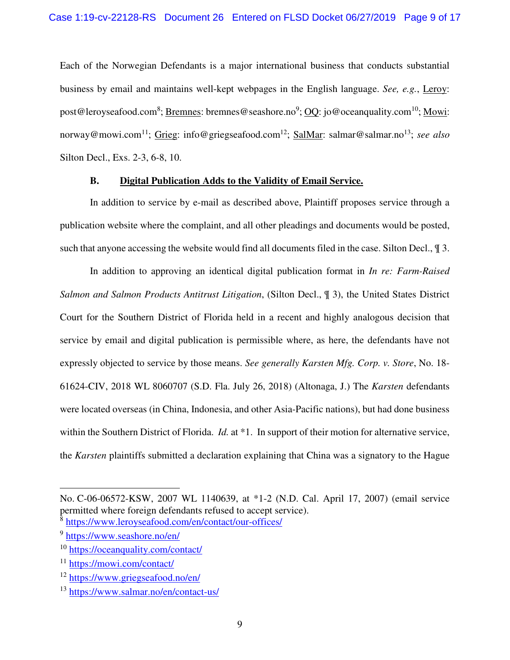Each of the Norwegian Defendants is a major international business that conducts substantial business by email and maintains well-kept webpages in the English language. *See, e.g.*, Leroy: post@leroyseafood.com<sup>8</sup>; <u>Bremnes</u>: bremnes@seashore.no<sup>9</sup>; <u>OQ</u>: jo@oceanquality.com<sup>10</sup>; <u>Mowi</u>: norway@mowi.com<sup>11</sup>; Grieg: info@griegseafood.com<sup>12</sup>; SalMar: salmar@salmar.no<sup>13</sup>; *see also* Silton Decl., Exs. 2-3, 6-8, 10.

#### **B. Digital Publication Adds to the Validity of Email Service.**

In addition to service by e-mail as described above, Plaintiff proposes service through a publication website where the complaint, and all other pleadings and documents would be posted, such that anyone accessing the website would find all documents filed in the case. Silton Decl.,  $\P$  3.

In addition to approving an identical digital publication format in *In re: Farm-Raised Salmon and Salmon Products Antitrust Litigation*, (Silton Decl., ¶ 3), the United States District Court for the Southern District of Florida held in a recent and highly analogous decision that service by email and digital publication is permissible where, as here, the defendants have not expressly objected to service by those means. *See generally Karsten Mfg. Corp. v. Store*, No. 18- 61624-CIV, 2018 WL 8060707 (S.D. Fla. July 26, 2018) (Altonaga, J.) The *Karsten* defendants were located overseas (in China, Indonesia, and other Asia-Pacific nations), but had done business within the Southern District of Florida. *Id.* at \*1. In support of their motion for alternative service, the *Karsten* plaintiffs submitted a declaration explaining that China was a signatory to the Hague

 $\overline{a}$ 

No. C-06-06572-KSW, 2007 WL 1140639, at \*1-2 (N.D. Cal. April 17, 2007) (email service permitted where foreign defendants refused to accept service).

<sup>8</sup> https://www.leroyseafood.com/en/contact/our-offices/

<sup>&</sup>lt;sup>9</sup> https://www.seashore.no/en/

<sup>10</sup> https://oceanquality.com/contact/

<sup>11</sup> https://mowi.com/contact/

<sup>12</sup> https://www.griegseafood.no/en/

<sup>13</sup> https://www.salmar.no/en/contact-us/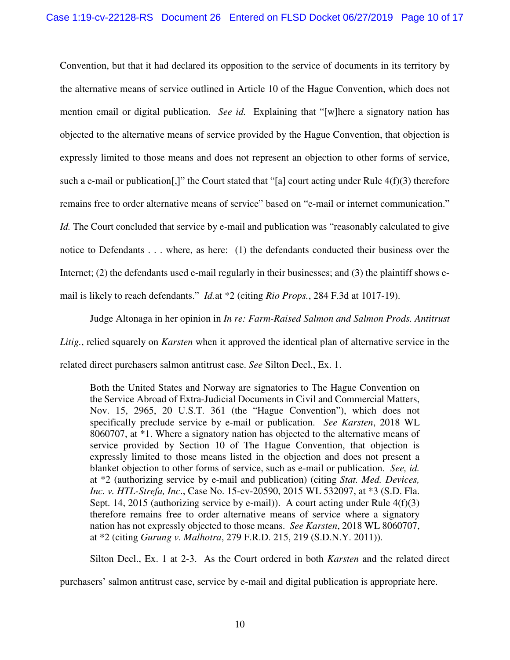Convention, but that it had declared its opposition to the service of documents in its territory by the alternative means of service outlined in Article 10 of the Hague Convention, which does not mention email or digital publication. *See id.* Explaining that "[w]here a signatory nation has objected to the alternative means of service provided by the Hague Convention, that objection is expressly limited to those means and does not represent an objection to other forms of service, such a e-mail or publication[,]" the Court stated that "[a] court acting under Rule 4(f)(3) therefore remains free to order alternative means of service" based on "e-mail or internet communication." *Id.* The Court concluded that service by e-mail and publication was "reasonably calculated to give notice to Defendants . . . where, as here: (1) the defendants conducted their business over the Internet; (2) the defendants used e-mail regularly in their businesses; and (3) the plaintiff shows email is likely to reach defendants." *Id.*at \*2 (citing *Rio Props.*, 284 F.3d at 1017-19).

Judge Altonaga in her opinion in *In re: Farm-Raised Salmon and Salmon Prods. Antitrust Litig.*, relied squarely on *Karsten* when it approved the identical plan of alternative service in the related direct purchasers salmon antitrust case. *See* Silton Decl., Ex. 1.

Both the United States and Norway are signatories to The Hague Convention on the Service Abroad of Extra-Judicial Documents in Civil and Commercial Matters, Nov. 15, 2965, 20 U.S.T. 361 (the "Hague Convention"), which does not specifically preclude service by e-mail or publication. *See Karsten*, 2018 WL 8060707, at \*1. Where a signatory nation has objected to the alternative means of service provided by Section 10 of The Hague Convention, that objection is expressly limited to those means listed in the objection and does not present a blanket objection to other forms of service, such as e-mail or publication. *See, id.*  at \*2 (authorizing service by e-mail and publication) (citing *Stat. Med. Devices, Inc. v. HTL-Strefa, Inc*., Case No. 15-cv-20590, 2015 WL 532097, at \*3 (S.D. Fla. Sept. 14, 2015 (authorizing service by e-mail)). A court acting under Rule  $4(f)(3)$ therefore remains free to order alternative means of service where a signatory nation has not expressly objected to those means. *See Karsten*, 2018 WL 8060707, at \*2 (citing *Gurung v. Malhotra*, 279 F.R.D. 215, 219 (S.D.N.Y. 2011)).

Silton Decl., Ex. 1 at 2-3. As the Court ordered in both *Karsten* and the related direct

purchasers' salmon antitrust case, service by e-mail and digital publication is appropriate here.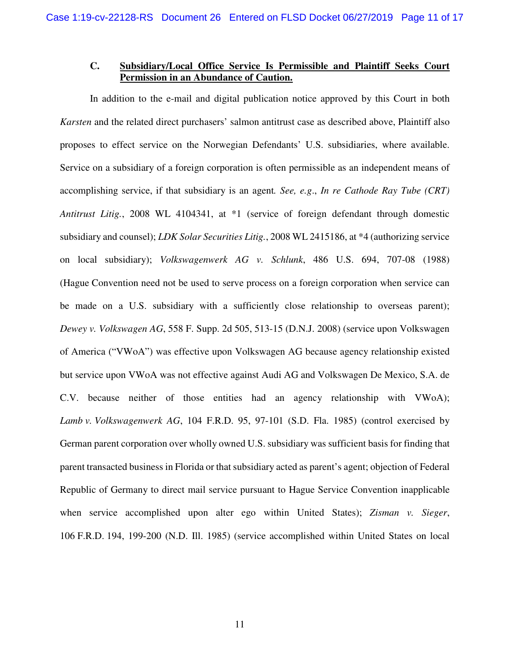# **C. Subsidiary/Local Office Service Is Permissible and Plaintiff Seeks Court Permission in an Abundance of Caution.**

In addition to the e-mail and digital publication notice approved by this Court in both *Karsten* and the related direct purchasers' salmon antitrust case as described above, Plaintiff also proposes to effect service on the Norwegian Defendants' U.S. subsidiaries, where available. Service on a subsidiary of a foreign corporation is often permissible as an independent means of accomplishing service, if that subsidiary is an agent*. See, e.g*., *In re Cathode Ray Tube (CRT) Antitrust Litig.*, 2008 WL 4104341, at \*1 (service of foreign defendant through domestic subsidiary and counsel); *LDK Solar Securities Litig.*, 2008 WL 2415186, at \*4 (authorizing service on local subsidiary); *Volkswagenwerk AG v. Schlunk*, 486 U.S. 694, 707-08 (1988) (Hague Convention need not be used to serve process on a foreign corporation when service can be made on a U.S. subsidiary with a sufficiently close relationship to overseas parent); *Dewey v. Volkswagen AG*, 558 F. Supp. 2d 505, 513-15 (D.N.J. 2008) (service upon Volkswagen of America ("VWoA") was effective upon Volkswagen AG because agency relationship existed but service upon VWoA was not effective against Audi AG and Volkswagen De Mexico, S.A. de C.V. because neither of those entities had an agency relationship with VWoA); *Lamb v. Volkswagenwerk AG*, 104 F.R.D. 95, 97-101 (S.D. Fla. 1985) (control exercised by German parent corporation over wholly owned U.S. subsidiary was sufficient basis for finding that parent transacted business in Florida or that subsidiary acted as parent's agent; objection of Federal Republic of Germany to direct mail service pursuant to Hague Service Convention inapplicable when service accomplished upon alter ego within United States); *Zisman v. Sieger*, 106 F.R.D. 194, 199-200 (N.D. Ill. 1985) (service accomplished within United States on local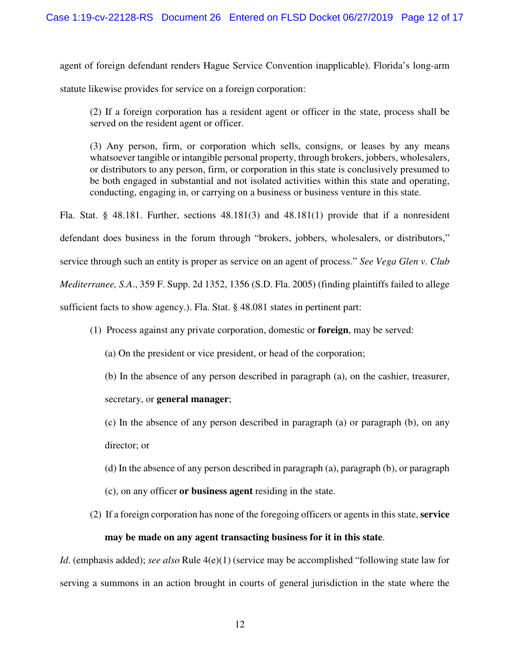agent of foreign defendant renders Hague Service Convention inapplicable). Florida's long-arm

statute likewise provides for service on a foreign corporation:

(2) If a foreign corporation has a resident agent or officer in the state, process shall be served on the resident agent or officer.

(3) Any person, firm, or corporation which sells, consigns, or leases by any means whatsoever tangible or intangible personal property, through brokers, jobbers, wholesalers, or distributors to any person, firm, or corporation in this state is conclusively presumed to be both engaged in substantial and not isolated activities within this state and operating, conducting, engaging in, or carrying on a business or business venture in this state.

Fla. Stat. § 48.181. Further, sections 48.181(3) and 48.181(1) provide that if a nonresident defendant does business in the forum through "brokers, jobbers, wholesalers, or distributors," service through such an entity is proper as service on an agent of process." *See Vega Glen v. Club Mediterranee, S.A*., 359 F. Supp. 2d 1352, 1356 (S.D. Fla. 2005) (finding plaintiffs failed to allege sufficient facts to show agency.). Fla. Stat. § 48.081 states in pertinent part:

(1) Process against any private corporation, domestic or **foreign**, may be served:

(a) On the president or vice president, or head of the corporation;

(b) In the absence of any person described in paragraph (a), on the cashier, treasurer,

secretary, or **general manager**;

(c) In the absence of any person described in paragraph (a) or paragraph (b), on any director; or

- (d) In the absence of any person described in paragraph (a), paragraph (b), or paragraph
- (c), on any officer **or business agent** residing in the state.
- (2) If a foreign corporation has none of the foregoing officers or agents in this state, **service may be made on any agent transacting business for it in this state**.

*Id.* (emphasis added); *see also* Rule 4(e)(1) (service may be accomplished "following state law for serving a summons in an action brought in courts of general jurisdiction in the state where the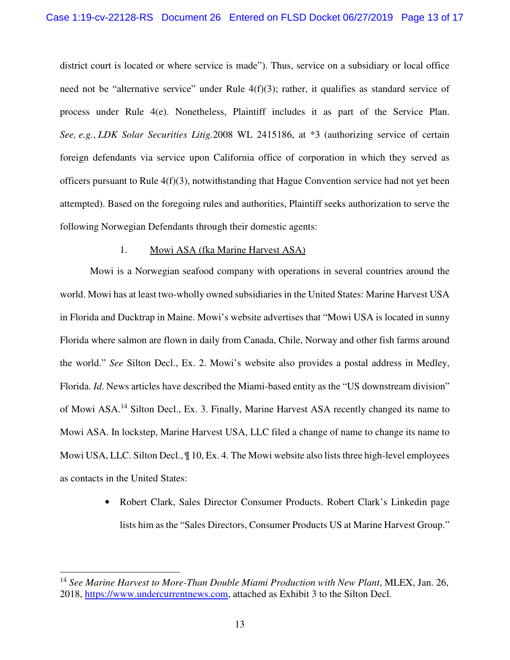district court is located or where service is made"). Thus, service on a subsidiary or local office need not be "alternative service" under Rule  $4(f)(3)$ ; rather, it qualifies as standard service of process under Rule 4(e). Nonetheless, Plaintiff includes it as part of the Service Plan. *See, e.g.*, *LDK Solar Securities Litig.*2008 WL 2415186, at \*3 (authorizing service of certain foreign defendants via service upon California office of corporation in which they served as officers pursuant to Rule 4(f)(3), notwithstanding that Hague Convention service had not yet been attempted). Based on the foregoing rules and authorities, Plaintiff seeks authorization to serve the following Norwegian Defendants through their domestic agents:

# 1. Mowi ASA (fka Marine Harvest ASA)

Mowi is a Norwegian seafood company with operations in several countries around the world. Mowi has at least two-wholly owned subsidiaries in the United States: Marine Harvest USA in Florida and Ducktrap in Maine. Mowi's website advertises that "Mowi USA is located in sunny Florida where salmon are flown in daily from Canada, Chile, Norway and other fish farms around the world." *See* Silton Decl., Ex. 2. Mowi's website also provides a postal address in Medley, Florida. *Id*. News articles have described the Miami-based entity as the "US downstream division" of Mowi ASA.<sup>14</sup> Silton Decl., Ex. 3. Finally, Marine Harvest ASA recently changed its name to Mowi ASA. In lockstep, Marine Harvest USA, LLC filed a change of name to change its name to Mowi USA, LLC. Silton Decl., ¶ 10, Ex. 4. The Mowi website also lists three high-level employees as contacts in the United States:

> • Robert Clark, Sales Director Consumer Products. Robert Clark's Linkedin page lists him as the "Sales Directors, Consumer Products US at Marine Harvest Group."

<u>.</u>

<sup>&</sup>lt;sup>14</sup> See Marine Harvest to More-Than Double Miami Production with New Plant, MLEX, Jan. 26, 2018, https://www.undercurrentnews.com, attached as Exhibit 3 to the Silton Decl.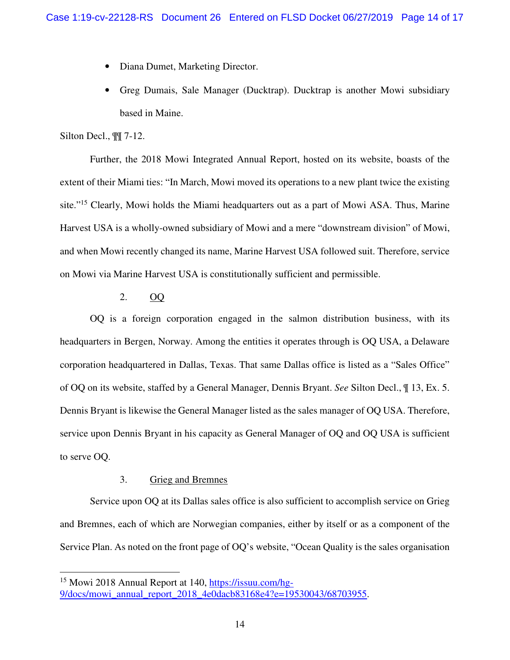- Diana Dumet, Marketing Director.
- Greg Dumais, Sale Manager (Ducktrap). Ducktrap is another Mowi subsidiary based in Maine.

#### Silton Decl., ¶¶ 7-12.

<u>.</u>

Further, the 2018 Mowi Integrated Annual Report, hosted on its website, boasts of the extent of their Miami ties: "In March, Mowi moved its operations to a new plant twice the existing site."<sup>15</sup> Clearly, Mowi holds the Miami headquarters out as a part of Mowi ASA. Thus, Marine Harvest USA is a wholly-owned subsidiary of Mowi and a mere "downstream division" of Mowi, and when Mowi recently changed its name, Marine Harvest USA followed suit. Therefore, service on Mowi via Marine Harvest USA is constitutionally sufficient and permissible.

#### 2. OQ

OQ is a foreign corporation engaged in the salmon distribution business, with its headquarters in Bergen, Norway. Among the entities it operates through is OQ USA, a Delaware corporation headquartered in Dallas, Texas. That same Dallas office is listed as a "Sales Office" of OQ on its website, staffed by a General Manager, Dennis Bryant. *See* Silton Decl., ¶ 13, Ex. 5. Dennis Bryant is likewise the General Manager listed as the sales manager of OQ USA. Therefore, service upon Dennis Bryant in his capacity as General Manager of OQ and OQ USA is sufficient to serve OQ.

# 3. Grieg and Bremnes

Service upon OQ at its Dallas sales office is also sufficient to accomplish service on Grieg and Bremnes, each of which are Norwegian companies, either by itself or as a component of the Service Plan. As noted on the front page of OQ's website, "Ocean Quality is the sales organisation

<sup>15</sup> Mowi 2018 Annual Report at 140, https://issuu.com/hg-9/docs/mowi\_annual\_report\_2018\_4e0dacb83168e4?e=19530043/68703955.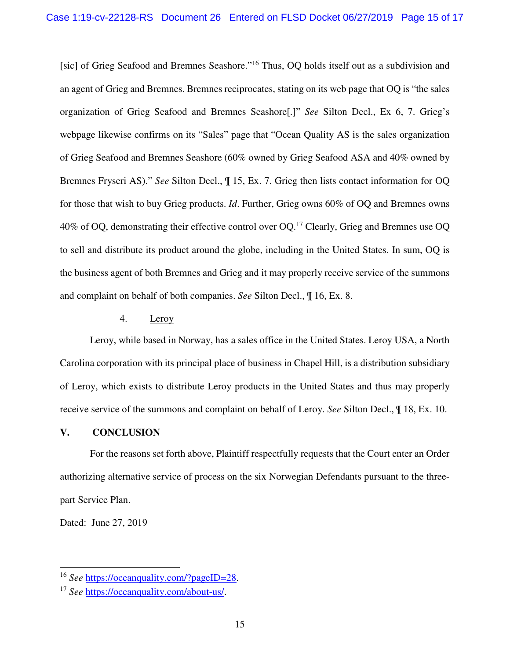[sic] of Grieg Seafood and Bremnes Seashore."<sup>16</sup> Thus, OQ holds itself out as a subdivision and an agent of Grieg and Bremnes. Bremnes reciprocates, stating on its web page that OQ is "the sales organization of Grieg Seafood and Bremnes Seashore[.]" *See* Silton Decl., Ex 6, 7. Grieg's webpage likewise confirms on its "Sales" page that "Ocean Quality AS is the sales organization of Grieg Seafood and Bremnes Seashore (60% owned by Grieg Seafood ASA and 40% owned by Bremnes Fryseri AS)." *See* Silton Decl., ¶ 15, Ex. 7. Grieg then lists contact information for OQ for those that wish to buy Grieg products. *Id*. Further, Grieg owns 60% of OQ and Bremnes owns  $40\%$  of OQ, demonstrating their effective control over OQ.<sup>17</sup> Clearly, Grieg and Bremnes use OQ to sell and distribute its product around the globe, including in the United States. In sum, OQ is the business agent of both Bremnes and Grieg and it may properly receive service of the summons and complaint on behalf of both companies. *See* Silton Decl., ¶ 16, Ex. 8.

## 4. Leroy

Leroy, while based in Norway, has a sales office in the United States. Leroy USA, a North Carolina corporation with its principal place of business in Chapel Hill, is a distribution subsidiary of Leroy, which exists to distribute Leroy products in the United States and thus may properly receive service of the summons and complaint on behalf of Leroy. *See* Silton Decl., ¶ 18, Ex. 10.

# **V. CONCLUSION**

For the reasons set forth above, Plaintiff respectfully requests that the Court enter an Order authorizing alternative service of process on the six Norwegian Defendants pursuant to the threepart Service Plan.

Dated: June 27, 2019

<u>.</u>

<sup>16</sup> *See* https://oceanquality.com/?pageID=28.

<sup>17</sup> *See* https://oceanquality.com/about-us/.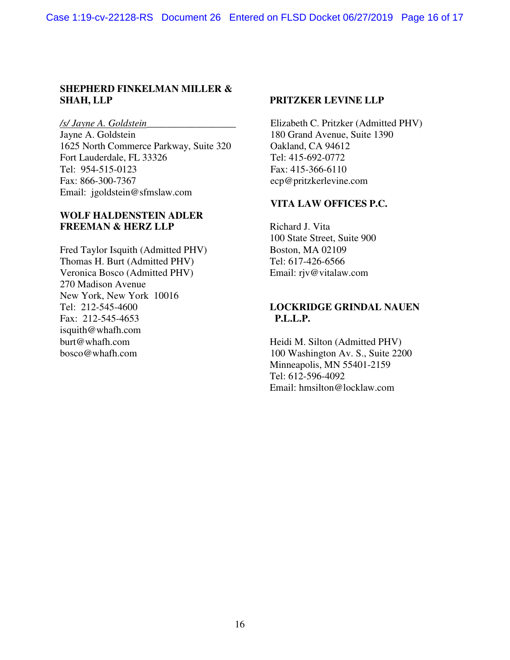# **SHEPHERD FINKELMAN MILLER & SHAH, LLP PRITZKER LEVINE LLP**

1625 North Commerce Parkway, Suite 320 Oakland, CA 94612 Fort Lauderdale, FL 33326 Tel: 415-692-0772 Tel: 954-515-0123<br>Fax: 866-300-7367 Fax: 415-366-6110<br>ecn@pritzkerlevine Email: jgoldstein@sfmslaw.com

# **WOLF HALDENSTEIN ADLER FREEMAN & HERZ LLP** Richard J. Vita

Fred Taylor Isquith (Admitted PHV) Boston, MA 02109 Thomas H. Burt (Admitted PHV) Tel: 617-426-6566 Veronica Bosco (Admitted PHV) Email: rjv@vitalaw.com 270 Madison Avenue New York, New York 10016 Fax: 212-545-4653 **P.L.L.P.** isquith@whafh.com<br>burt@whafh.com bosco@whafh.com 100 Washington Av. S., Suite 2200

*/s/ Jayne A. Goldstein\_\_\_\_\_\_\_\_\_\_\_\_\_\_\_\_\_\_* Elizabeth C. Pritzker (Admitted PHV) 180 Grand Avenue, Suite 1390 ecp@pritzkerlevine.com

# **VITA LAW OFFICES P.C.**

100 State Street, Suite 900

# Tel: 212-545-4600 **LOCKRIDGE GRINDAL NAUEN**

Heidi M. Silton (Admitted PHV) Minneapolis, MN 55401-2159 Tel: 612-596-4092 Email: hmsilton@locklaw.com